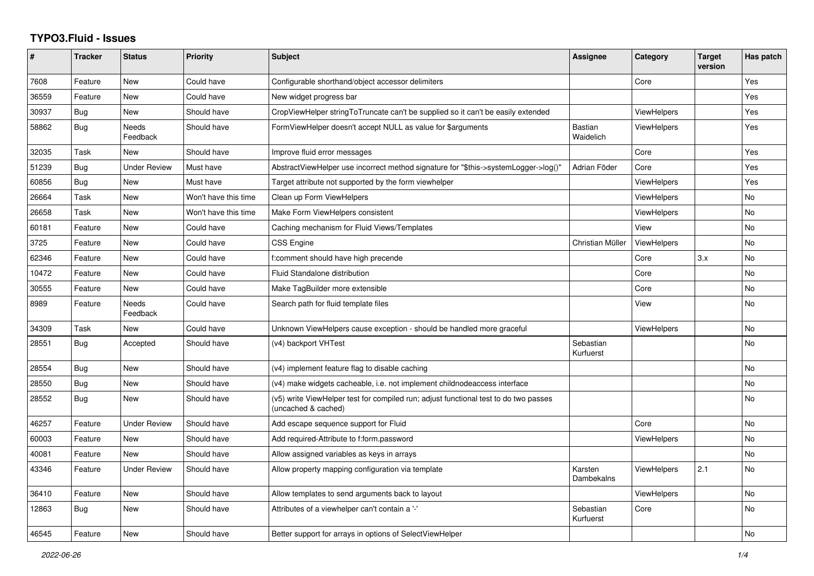## **TYPO3.Fluid - Issues**

| #     | <b>Tracker</b> | <b>Status</b>            | <b>Priority</b>      | <b>Subject</b>                                                                                              | Assignee                    | Category           | <b>Target</b><br>version | Has patch |
|-------|----------------|--------------------------|----------------------|-------------------------------------------------------------------------------------------------------------|-----------------------------|--------------------|--------------------------|-----------|
| 7608  | Feature        | <b>New</b>               | Could have           | Configurable shorthand/object accessor delimiters                                                           |                             | Core               |                          | Yes       |
| 36559 | Feature        | <b>New</b>               | Could have           | New widget progress bar                                                                                     |                             |                    |                          | Yes       |
| 30937 | Bug            | New                      | Should have          | CropViewHelper stringToTruncate can't be supplied so it can't be easily extended                            |                             | <b>ViewHelpers</b> |                          | Yes       |
| 58862 | <b>Bug</b>     | <b>Needs</b><br>Feedback | Should have          | FormViewHelper doesn't accept NULL as value for \$arguments                                                 | <b>Bastian</b><br>Waidelich | <b>ViewHelpers</b> |                          | Yes       |
| 32035 | Task           | New                      | Should have          | Improve fluid error messages                                                                                |                             | Core               |                          | Yes       |
| 51239 | <b>Bug</b>     | <b>Under Review</b>      | Must have            | AbstractViewHelper use incorrect method signature for "\$this->systemLogger->log()"                         | Adrian Föder                | Core               |                          | Yes       |
| 60856 | <b>Bug</b>     | New                      | Must have            | Target attribute not supported by the form viewhelper                                                       |                             | ViewHelpers        |                          | Yes       |
| 26664 | Task           | New                      | Won't have this time | Clean up Form ViewHelpers                                                                                   |                             | <b>ViewHelpers</b> |                          | <b>No</b> |
| 26658 | Task           | New                      | Won't have this time | Make Form ViewHelpers consistent                                                                            |                             | <b>ViewHelpers</b> |                          | No        |
| 60181 | Feature        | New                      | Could have           | Caching mechanism for Fluid Views/Templates                                                                 |                             | View               |                          | No        |
| 3725  | Feature        | New                      | Could have           | <b>CSS Engine</b>                                                                                           | Christian Müller            | ViewHelpers        |                          | <b>No</b> |
| 62346 | Feature        | New                      | Could have           | f:comment should have high precende                                                                         |                             | Core               | 3.x                      | <b>No</b> |
| 10472 | Feature        | New                      | Could have           | <b>Fluid Standalone distribution</b>                                                                        |                             | Core               |                          | No        |
| 30555 | Feature        | <b>New</b>               | Could have           | Make TagBuilder more extensible                                                                             |                             | Core               |                          | <b>No</b> |
| 8989  | Feature        | <b>Needs</b><br>Feedback | Could have           | Search path for fluid template files                                                                        |                             | View               |                          | <b>No</b> |
| 34309 | Task           | New                      | Could have           | Unknown ViewHelpers cause exception - should be handled more graceful                                       |                             | ViewHelpers        |                          | No        |
| 28551 | Bug            | Accepted                 | Should have          | (v4) backport VHTest                                                                                        | Sebastian<br>Kurfuerst      |                    |                          | <b>No</b> |
| 28554 | Bug            | <b>New</b>               | Should have          | (v4) implement feature flag to disable caching                                                              |                             |                    |                          | <b>No</b> |
| 28550 | Bug            | New                      | Should have          | (v4) make widgets cacheable, i.e. not implement childnodeaccess interface                                   |                             |                    |                          | <b>No</b> |
| 28552 | Bug            | New                      | Should have          | (v5) write ViewHelper test for compiled run; adjust functional test to do two passes<br>(uncached & cached) |                             |                    |                          | No        |
| 46257 | Feature        | <b>Under Review</b>      | Should have          | Add escape sequence support for Fluid                                                                       |                             | Core               |                          | <b>No</b> |
| 60003 | Feature        | <b>New</b>               | Should have          | Add required-Attribute to f:form.password                                                                   |                             | <b>ViewHelpers</b> |                          | <b>No</b> |
| 40081 | Feature        | <b>New</b>               | Should have          | Allow assigned variables as keys in arrays                                                                  |                             |                    |                          | No        |
| 43346 | Feature        | <b>Under Review</b>      | Should have          | Allow property mapping configuration via template                                                           | Karsten<br>Dambekalns       | <b>ViewHelpers</b> | 2.1                      | <b>No</b> |
| 36410 | Feature        | <b>New</b>               | Should have          | Allow templates to send arguments back to layout                                                            |                             | <b>ViewHelpers</b> |                          | <b>No</b> |
| 12863 | Bug            | New                      | Should have          | Attributes of a viewhelper can't contain a '-'                                                              | Sebastian<br>Kurfuerst      | Core               |                          | <b>No</b> |
| 46545 | Feature        | New                      | Should have          | Better support for arrays in options of SelectViewHelper                                                    |                             |                    |                          | No        |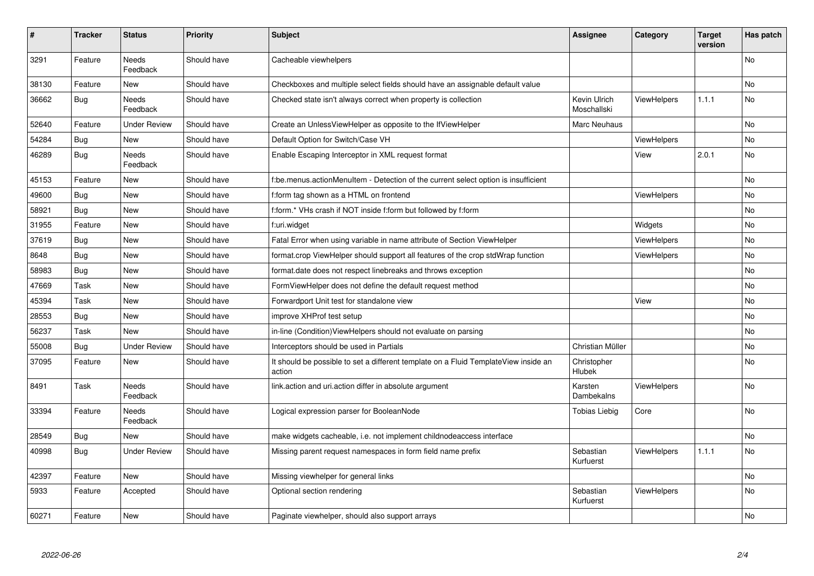| #     | <b>Tracker</b> | <b>Status</b>            | <b>Priority</b> | <b>Subject</b>                                                                                | <b>Assignee</b>             | Category           | <b>Target</b><br>version | Has patch |
|-------|----------------|--------------------------|-----------------|-----------------------------------------------------------------------------------------------|-----------------------------|--------------------|--------------------------|-----------|
| 3291  | Feature        | <b>Needs</b><br>Feedback | Should have     | Cacheable viewhelpers                                                                         |                             |                    |                          | <b>No</b> |
| 38130 | Feature        | <b>New</b>               | Should have     | Checkboxes and multiple select fields should have an assignable default value                 |                             |                    |                          | <b>No</b> |
| 36662 | Bug            | <b>Needs</b><br>Feedback | Should have     | Checked state isn't always correct when property is collection                                | Kevin Ulrich<br>Moschallski | ViewHelpers        | 1.1.1                    | <b>No</b> |
| 52640 | Feature        | <b>Under Review</b>      | Should have     | Create an UnlessViewHelper as opposite to the IfViewHelper                                    | Marc Neuhaus                |                    |                          | <b>No</b> |
| 54284 | Bug            | New                      | Should have     | Default Option for Switch/Case VH                                                             |                             | ViewHelpers        |                          | <b>No</b> |
| 46289 | Bug            | Needs<br>Feedback        | Should have     | Enable Escaping Interceptor in XML request format                                             |                             | View               | 2.0.1                    | <b>No</b> |
| 45153 | Feature        | <b>New</b>               | Should have     | f:be.menus.actionMenuItem - Detection of the current select option is insufficient            |                             |                    |                          | <b>No</b> |
| 49600 | Bug            | New                      | Should have     | f:form tag shown as a HTML on frontend                                                        |                             | <b>ViewHelpers</b> |                          | No        |
| 58921 | Bug            | New                      | Should have     | f:form.* VHs crash if NOT inside f:form but followed by f:form                                |                             |                    |                          | <b>No</b> |
| 31955 | Feature        | New                      | Should have     | f:uri.widget                                                                                  |                             | Widgets            |                          | No        |
| 37619 | Bug            | <b>New</b>               | Should have     | Fatal Error when using variable in name attribute of Section ViewHelper                       |                             | <b>ViewHelpers</b> |                          | <b>No</b> |
| 8648  | Bug            | <b>New</b>               | Should have     | format.crop ViewHelper should support all features of the crop stdWrap function               |                             | <b>ViewHelpers</b> |                          | <b>No</b> |
| 58983 | Bug            | <b>New</b>               | Should have     | format.date does not respect linebreaks and throws exception                                  |                             |                    |                          | No        |
| 47669 | Task           | <b>New</b>               | Should have     | FormViewHelper does not define the default request method                                     |                             |                    |                          | <b>No</b> |
| 45394 | Task           | <b>New</b>               | Should have     | Forwardport Unit test for standalone view                                                     |                             | View               |                          | <b>No</b> |
| 28553 | Bug            | New                      | Should have     | improve XHProf test setup                                                                     |                             |                    |                          | No        |
| 56237 | Task           | <b>New</b>               | Should have     | in-line (Condition) View Helpers should not evaluate on parsing                               |                             |                    |                          | <b>No</b> |
| 55008 | Bug            | <b>Under Review</b>      | Should have     | Interceptors should be used in Partials                                                       | Christian Müller            |                    |                          | <b>No</b> |
| 37095 | Feature        | New                      | Should have     | It should be possible to set a different template on a Fluid TemplateView inside an<br>action | Christopher<br>Hlubek       |                    |                          | No        |
| 8491  | Task           | Needs<br>Feedback        | Should have     | link action and uri action differ in absolute argument                                        | Karsten<br>Dambekalns       | ViewHelpers        |                          | No        |
| 33394 | Feature        | <b>Needs</b><br>Feedback | Should have     | Logical expression parser for BooleanNode                                                     | Tobias Liebig               | Core               |                          | <b>No</b> |
| 28549 | <b>Bug</b>     | <b>New</b>               | Should have     | make widgets cacheable, i.e. not implement childnodeaccess interface                          |                             |                    |                          | <b>No</b> |
| 40998 | Bug            | <b>Under Review</b>      | Should have     | Missing parent request namespaces in form field name prefix                                   | Sebastian<br>Kurfuerst      | ViewHelpers        | 1.1.1                    | <b>No</b> |
| 42397 | Feature        | <b>New</b>               | Should have     | Missing viewhelper for general links                                                          |                             |                    |                          | No        |
| 5933  | Feature        | Accepted                 | Should have     | Optional section rendering                                                                    | Sebastian<br>Kurfuerst      | ViewHelpers        |                          | No        |
| 60271 | Feature        | <b>New</b>               | Should have     | Paginate viewhelper, should also support arrays                                               |                             |                    |                          | <b>No</b> |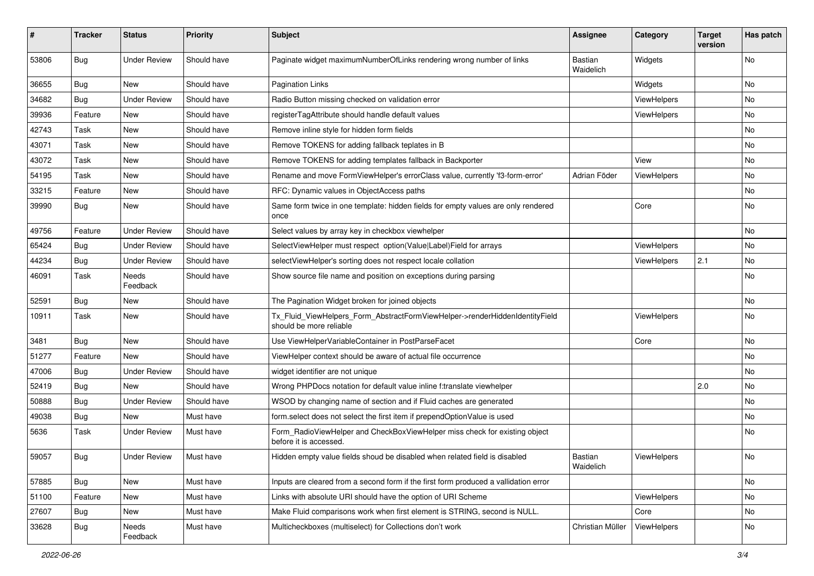| ∦     | <b>Tracker</b> | <b>Status</b>       | <b>Priority</b> | Subject                                                                                                | <b>Assignee</b>             | Category    | <b>Target</b><br>version | Has patch |
|-------|----------------|---------------------|-----------------|--------------------------------------------------------------------------------------------------------|-----------------------------|-------------|--------------------------|-----------|
| 53806 | Bug            | <b>Under Review</b> | Should have     | Paginate widget maximumNumberOfLinks rendering wrong number of links                                   | Bastian<br>Waidelich        | Widgets     |                          | No        |
| 36655 | <b>Bug</b>     | New                 | Should have     | <b>Pagination Links</b>                                                                                |                             | Widgets     |                          | No        |
| 34682 | Bug            | <b>Under Review</b> | Should have     | Radio Button missing checked on validation error                                                       |                             | ViewHelpers |                          | No        |
| 39936 | Feature        | New                 | Should have     | registerTagAttribute should handle default values                                                      |                             | ViewHelpers |                          | No        |
| 42743 | Task           | New                 | Should have     | Remove inline style for hidden form fields                                                             |                             |             |                          | No.       |
| 43071 | Task           | New                 | Should have     | Remove TOKENS for adding fallback teplates in B                                                        |                             |             |                          | No        |
| 43072 | Task           | New                 | Should have     | Remove TOKENS for adding templates fallback in Backporter                                              |                             | View        |                          | No.       |
| 54195 | Task           | New                 | Should have     | Rename and move FormViewHelper's errorClass value, currently 'f3-form-error'                           | Adrian Föder                | ViewHelpers |                          | No        |
| 33215 | Feature        | New                 | Should have     | RFC: Dynamic values in ObjectAccess paths                                                              |                             |             |                          | No        |
| 39990 | Bug            | New                 | Should have     | Same form twice in one template: hidden fields for empty values are only rendered<br>once              |                             | Core        |                          | No        |
| 49756 | Feature        | <b>Under Review</b> | Should have     | Select values by array key in checkbox viewhelper                                                      |                             |             |                          | No        |
| 65424 | Bug            | <b>Under Review</b> | Should have     | SelectViewHelper must respect option(Value Label)Field for arrays                                      |                             | ViewHelpers |                          | No.       |
| 44234 | Bug            | <b>Under Review</b> | Should have     | selectViewHelper's sorting does not respect locale collation                                           |                             | ViewHelpers | 2.1                      | No        |
| 46091 | Task           | Needs<br>Feedback   | Should have     | Show source file name and position on exceptions during parsing                                        |                             |             |                          | No        |
| 52591 | Bug            | New                 | Should have     | The Pagination Widget broken for joined objects                                                        |                             |             |                          | No.       |
| 10911 | Task           | New                 | Should have     | Tx_Fluid_ViewHelpers_Form_AbstractFormViewHelper->renderHiddenIdentityField<br>should be more reliable |                             | ViewHelpers |                          | No        |
| 3481  | Bug            | New                 | Should have     | Use ViewHelperVariableContainer in PostParseFacet                                                      |                             | Core        |                          | No        |
| 51277 | Feature        | <b>New</b>          | Should have     | ViewHelper context should be aware of actual file occurrence                                           |                             |             |                          | No        |
| 47006 | Bug            | <b>Under Review</b> | Should have     | widget identifier are not unique                                                                       |                             |             |                          | No        |
| 52419 | Bug            | New                 | Should have     | Wrong PHPDocs notation for default value inline f:translate viewhelper                                 |                             |             | 2.0                      | No        |
| 50888 | Bug            | <b>Under Review</b> | Should have     | WSOD by changing name of section and if Fluid caches are generated                                     |                             |             |                          | No        |
| 49038 | Bug            | New                 | Must have       | form.select does not select the first item if prependOptionValue is used                               |                             |             |                          | No        |
| 5636  | Task           | <b>Under Review</b> | Must have       | Form_RadioViewHelper and CheckBoxViewHelper miss check for existing object<br>before it is accessed.   |                             |             |                          | No        |
| 59057 | <b>Bug</b>     | <b>Under Review</b> | Must have       | Hidden empty value fields shoud be disabled when related field is disabled                             | <b>Bastian</b><br>Waidelich | ViewHelpers |                          | No        |
| 57885 | Bug            | New                 | Must have       | Inputs are cleared from a second form if the first form produced a vallidation error                   |                             |             |                          | No        |
| 51100 | Feature        | New                 | Must have       | Links with absolute URI should have the option of URI Scheme                                           |                             | ViewHelpers |                          | No        |
| 27607 | Bug            | New                 | Must have       | Make Fluid comparisons work when first element is STRING, second is NULL.                              |                             | Core        |                          | No        |
| 33628 | <b>Bug</b>     | Needs<br>Feedback   | Must have       | Multicheckboxes (multiselect) for Collections don't work                                               | Christian Müller            | ViewHelpers |                          | No        |